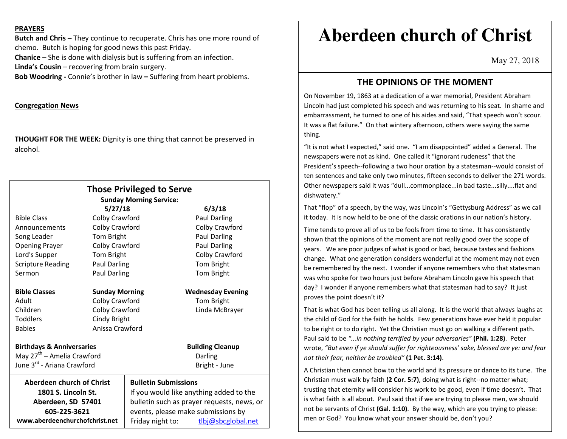#### **PRAYERS**

**Butch and Chris –** They continue to recuperate. Chris has one more round of chemo. Butch is hoping for good news this past Friday.

**Chanice** – She is done with dialysis but is suffering from an infection.

**Linda's Cousin** – recovering from brain surgery.

**Bob Woodring -** Connie's brother in law **–** Suffering from heart problems.

#### **Congregation News**

**THOUGHT FOR THE WEEK:** Dignity is one thing that cannot be preserved in alcohol.

|                                        |                       | <b>Those Privileged to Serve</b>           |                          |  |
|----------------------------------------|-----------------------|--------------------------------------------|--------------------------|--|
|                                        |                       | <b>Sunday Morning Service:</b>             |                          |  |
|                                        | 5/27/18               |                                            | 6/3/18                   |  |
| <b>Bible Class</b>                     | Colby Crawford        |                                            | <b>Paul Darling</b>      |  |
| Announcements                          | Colby Crawford        |                                            | Colby Crawford           |  |
| Song Leader                            | Tom Bright            |                                            | <b>Paul Darling</b>      |  |
| <b>Opening Prayer</b>                  | Colby Crawford        |                                            | Paul Darling             |  |
| Lord's Supper                          | Tom Bright            |                                            | Colby Crawford           |  |
| <b>Scripture Reading</b>               | Paul Darling          |                                            | Tom Bright               |  |
| Sermon                                 | Paul Darling          |                                            | Tom Bright               |  |
| <b>Bible Classes</b>                   | <b>Sunday Morning</b> |                                            | <b>Wednesday Evening</b> |  |
| Adult                                  | Colby Crawford        |                                            | Tom Bright               |  |
| Children                               | Colby Crawford        |                                            | Linda McBrayer           |  |
| <b>Toddlers</b>                        | Cindy Bright          |                                            |                          |  |
| Babies                                 | Anissa Crawford       |                                            |                          |  |
| <b>Birthdays &amp; Anniversaries</b>   |                       |                                            | <b>Building Cleanup</b>  |  |
| May 27 <sup>th</sup> – Amelia Crawford |                       | Darling                                    |                          |  |
| June 3 <sup>rd</sup> - Ariana Crawford |                       |                                            | Bright - June            |  |
| <b>Aberdeen church of Christ</b>       |                       | <b>Bulletin Submissions</b>                |                          |  |
| 1801 S. Lincoln St.                    |                       | If you would like anything added to the    |                          |  |
| Aberdeen, SD 57401                     |                       | bulletin such as prayer requests, news, or |                          |  |
| 605-225-3621                           |                       | events, please make submissions by         |                          |  |
| www.aberdeenchurchofchrist.net         |                       | Friday night to:                           | tlbj@sbcglobal.net       |  |

# **Aberdeen church of Christ**

May 27, 2018

## **THE OPINIONS OF THE MOMENT**

On November 19, 1863 at a dedication of a war memorial, President Abraham Lincoln had just completed his speech and was returning to his seat. In shame and embarrassment, he turned to one of his aides and said, "That speech won't scour. It was a flat failure." On that wintery afternoon, others were saying the same thing.

"It is not what I expected," said one. "I am disappointed" added a General. The newspapers were not as kind. One called it "ignorant rudeness" that the President's speech--following a two hour oration by a statesman--would consist of ten sentences and take only two minutes, fifteen seconds to deliver the 271 words. Other newspapers said it was "dull...commonplace...in bad taste...silly....flat and dishwatery."

That "flop" of a speech, by the way, was Lincoln's "Gettysburg Address" as we call it today. It is now held to be one of the classic orations in our nation's history.

Time tends to prove all of us to be fools from time to time. It has consistently shown that the opinions of the moment are not really good over the scope of years. We are poor judges of what is good or bad, because tastes and fashions change. What one generation considers wonderful at the moment may not even be remembered by the next. I wonder if anyone remembers who that statesman was who spoke for two hours just before Abraham Lincoln gave his speech that day? I wonder if anyone remembers what that statesman had to say? It just proves the point doesn't it?

That is what God has been telling us all along. It is the world that always laughs at the child of God for the faith he holds. Few generations have ever held it popular to be right or to do right. Yet the Christian must go on walking a different path. Paul said to be *"...in nothing terrified by your adversaries"* **(Phil. 1:28)**. Peter wrote, *"But even if ye should suffer for righteousness' sake, blessed are ye: and fear not their fear, neither be troubled"* **(1 Pet. 3:14)**.

A Christian then cannot bow to the world and its pressure or dance to its tune. The Christian must walk by faith **(2 Cor. 5:7)**, doing what is right--no matter what; trusting that eternity will consider his work to be good, even if time doesn't. That is what faith is all about. Paul said that if we are trying to please men, we should not be servants of Christ **(Gal. 1:10)**. By the way, which are you trying to please: men or God? You know what your answer should be, don't you?